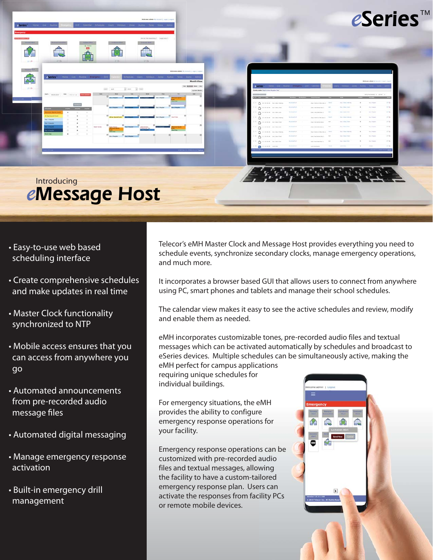

eSeries<sup>™</sup>

*e*Message Host Introducing

- Easy-to-use web based scheduling interface
- Create comprehensive schedules and make updates in real time
- Master Clock functionality synchronized to NTP
- Mobile access ensures that you can access from anywhere you go
- Automated announcements from pre-recorded audio message files
- Automated digital messaging
- Manage emergency response activation
- Built-in emergency drill management

Telecor's eMH Master Clock and Message Host provides everything you need to schedule events, synchronize secondary clocks, manage emergency operations, and much more.

It incorporates a browser based GUI that allows users to connect from anywhere using PC, smart phones and tablets and manage their school schedules.

The calendar view makes it easy to see the active schedules and review, modify and enable them as needed.

eMH incorporates customizable tones, pre-recorded audio files and textual messages which can be activated automatically by schedules and broadcast to eSeries devices. Multiple schedules can be simultaneously active, making the eMH perfect for campus applications

requiring unique schedules for individual buildings.

For emergency situations, the eMH provides the ability to configure emergency response operations for your facility.

Emergency response operations can be customized with pre-recorded audio files and textual messages, allowing the facility to have a custom-tailored emergency response plan. Users can activate the responses from facility PCs or remote mobile devices.